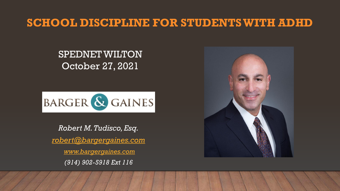## **SCHOOL DISCIPLINE FOR STUDENTS WITH ADHD**

## SPEDNET WILTON October 27, 2021



*Robert M. Tudisco, Esq. [robert@bargergaines.com](mailto:robert@bargergaines.com) [www.bargergaines.com](http://www.bargergaines.com/) (914) 902-5918 Ext 116*

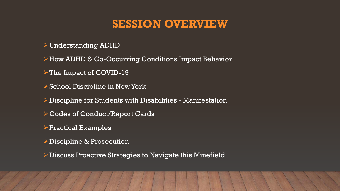## **SESSION OVERVIEW**

Understanding ADHD

How ADHD & Co-Occurring Conditions Impact Behavior

 $\triangleright$  The Impact of COVID-19

 $\triangleright$  School Discipline in New York

 $\triangleright$  Discipline for Students with Disabilities - Manifestation

- Codes of Conduct/Report Cards
- $\triangleright$  Practical Examples
- **Discipline & Prosecution**
- Discuss Proactive Strategies to Navigate this Minefield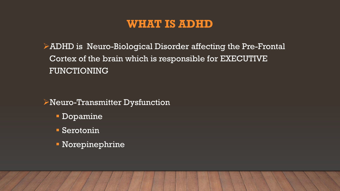## **WHAT IS ADHD**

ADHD is Neuro-Biological Disorder affecting the Pre-Frontal Cortex of the brain which is responsible for EXECUTIVE FUNCTIONING

Neuro-Transmitter Dysfunction

- Dopamine
- Serotonin
- Norepinephrine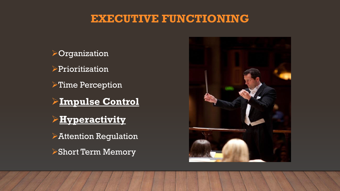## **EXECUTIVE FUNCTIONING**



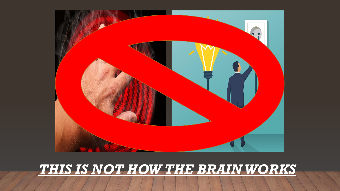

# *THIS IS NOT HOW THE BRAIN WORKS*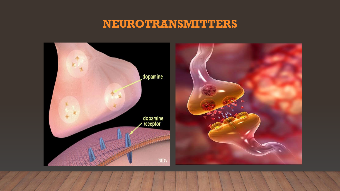## **NEUROTRANSMITTERS**

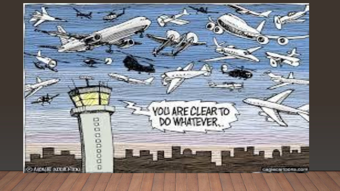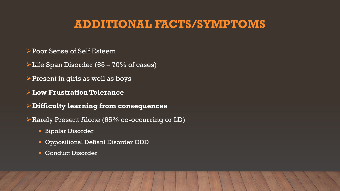## **ADDITIONAL FACTS/SYMPTOMS**

- Poor Sense of Self Esteem
- $\triangleright$  Life Span Disorder (65 70% of cases)
- $\triangleright$  Present in girls as well as boys
- **Low Frustration Tolerance**
- **Difficulty learning from consequences**
- Rarely Present Alone (65% co-occurring or LD)
	- Bipolar Disorder
	- **Oppositional Defiant Disorder ODD**
	- **Conduct Disorder**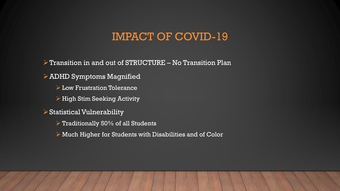## IMPACT OF COVID-19

 $\triangleright$  Transition in and out of STRUCTURE – No Transition Plan

 $\triangleright$  ADHD Symptoms Magnified

**Low Frustration Tolerance** 

 $\triangleright$  High Stim Seeking Activity

 $\triangleright$  Statistical Vulnerability

 $\triangleright$  Traditionally 50% of all Students

Much Higher for Students with Disabilities and of Color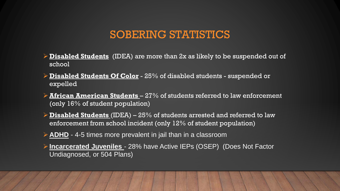## SOBERING STATISTICS

- **Disabled Students** (IDEA) are more than 2x as likely to be suspended out of school
- **Disabled Students Of Color** 25% of disabled students suspended or expelled
- **African American Students**  27% of students referred to law enforcement (only 16% of student population)
- **Disabled Students** (IDEA) 25% of students arrested and referred to law enforcement from school incident (only 12% of student population)
- **ADHD** 4-5 times more prevalent in jail than in a classroom
- **Incarcerated Juveniles**  28% have Active IEPs (OSEP) (Does Not Factor Undiagnosed, or 504 Plans)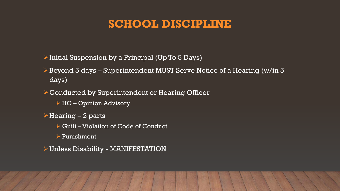## **SCHOOL DISCIPLINE**

 $\triangleright$  Initial Suspension by a Principal (Up To 5 Days)

Beyond 5 days – Superintendent MUST Serve Notice of a Hearing (w/in 5 days)

Conducted by Superintendent or Hearing Officer

HO – Opinion Advisory

 $\triangleright$  Hearing – 2 parts

▶ Guilt – Violation of Code of Conduct

 $\triangleright$  Punishment

Unless Disability - MANIFESTATION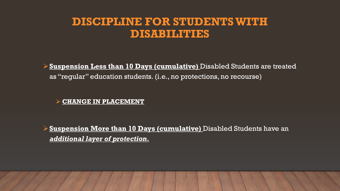## **DISCIPLINE FOR STUDENTS WITH DISABILITIES**

**Suspension Less than 10 Days (cumulative)** Disabled Students are treated as "regular" education students. (i.e., no protections, no recourse)

#### **CHANGE IN PLACEMENT**

**Suspension More than 10 Days (cumulative)** Disabled Students have an *additional layer of protection.*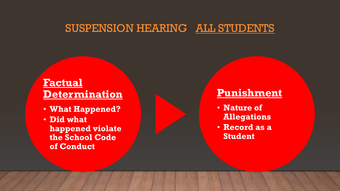## SUSPENSION HEARING ALL STUDENTS

## **Factual Determination**

- **What Happened?**
- **Did what happened violate the School Code of Conduct**

## **Punishment**

- **Nature of Allegations**
- **Record as a Student**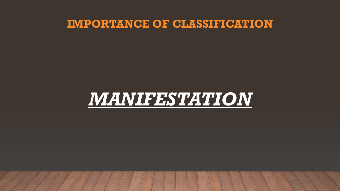## **IMPORTANCE OF CLASSIFICATION**

# *MANIFESTATION*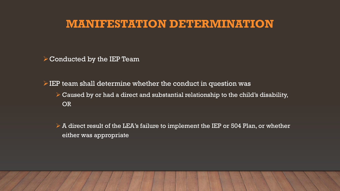## **MANIFESTATION DETERMINATION**

 $\triangleright$  Conducted by the IEP Team

 $\triangleright$  IEP team shall determine whether the conduct in question was

- $\triangleright$  Caused by or had a direct and substantial relationship to the child's disability, OR
- $\triangleright$  A direct result of the LEA's failure to implement the IEP or 504 Plan, or whether either was appropriate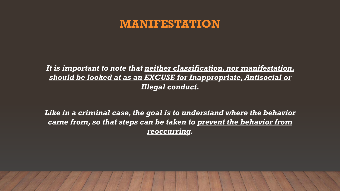## **MANIFESTATION**

#### *It is important to note that neither classification, nor manifestation, should be looked at as an EXCUSE for Inappropriate, Antisocial or Illegal conduct.*

*Like in a criminal case, the goal is to understand where the behavior came from, so that steps can be taken to prevent the behavior from reoccurring.*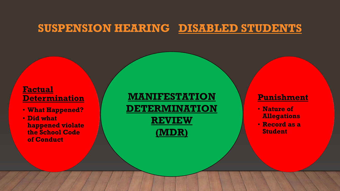## **SUSPENSION HEARING DISABLED STUDENTS**

#### **Factual Determination**

- **What Happened?**
- **Did what happened violate the School Code of Conduct**

**MANIFESTATION DETERMINATION REVIEW (MDR)**

#### **Punishment**

- **Nature of Allegations**
- **Record as a Student**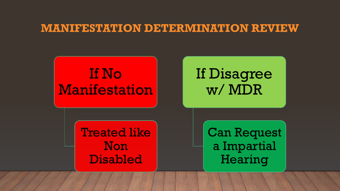## **MANIFESTATION DETERMINATION REVIEW**

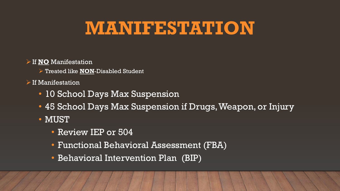# **MANIFESTATION**

#### If **NO** Manifestation

Treated like **NON**-Disabled Student

#### $\triangleright$  If Manifestation

- 10 School Days Max Suspension
- 45 School Days Max Suspension if Drugs, Weapon, or Injury
- MUST
	- Review IEP or 504
	- Functional Behavioral Assessment (FBA)
	- Behavioral Intervention Plan (BIP)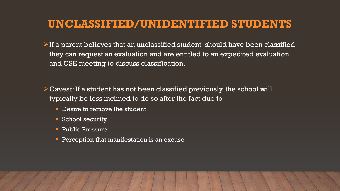## **UNCLASSIFIED/UNIDENTIFIED STUDENTS**

- $\triangleright$  If a parent believes that an unclassified student should have been classified, they can request an evaluation and are entitled to an expedited evaluation and CSE meeting to discuss classification.
- $\triangleright$  Caveat: If a student has not been classified previously, the school will typically be less inclined to do so after the fact due to
	- Desire to remove the student
	- **School security**
	- **Public Pressure**
	- **Perception that manifestation is an excuse**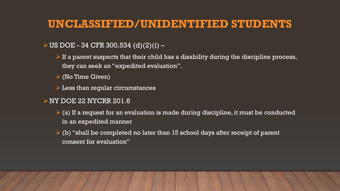## **UNCLASSIFIED/UNIDENTIFIED STUDENTS**

#### $U$ US DOE - 34 CFR 300.534 (d)(2)(i) –

- $\triangleright$  If a parent suspects that their child has a disability during the discipline process, they can seek an "expedited evaluation".
- $\triangleright$  (No Time Given)
- $\triangleright$  Less than regular circumstances
- NY DOE 22 NYCRR 201.6
	- $\geq$  (a) If a request for an evaluation is made during discipline, it must be conducted in an expedited manner
	- $\triangleright$  (b) "shall be completed no later than 15 school days after receipt of parent consent for evaluation"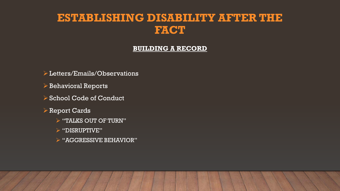## **ESTABLISHING DISABILITY AFTER THE FACT**

#### **BUILDING A RECORD**

- Letters/Emails/Observations
- $\triangleright$  Behavioral Reports
- **≻ School Code of Conduct**
- Report Cards
	- $\triangleright$  "TALKS OUT OF TURN"
	- "DISRUPTIVE"
	- "AGGRESSIVE BEHAVIOR"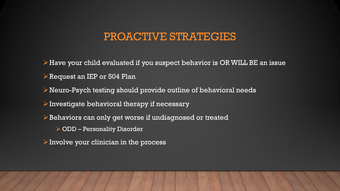## PROACTIVE STRATEGIES

 $\triangleright$  Have your child evaluated if you suspect behavior is OR WILL BE an issue Request an IEP or 504 Plan Neuro-Psych testing should provide outline of behavioral needs  $\triangleright$  Investigate behavioral therapy if necessary Behaviors can only get worse if undiagnosed or treated ODD – Personality Disorder  $\triangleright$  Involve your clinician in the process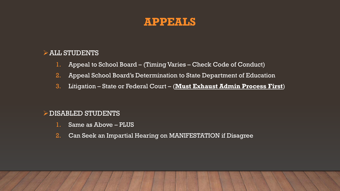### **APPEALS**

#### $\triangleright$  ALL STUDENTS

- 1. Appeal to School Board (Timing Varies Check Code of Conduct)
- 2. Appeal School Board's Determination to State Department of Education
- 3. Litigation State or Federal Court (**Must Exhaust Admin Process First**)

#### $\triangleright$  DISABLED STUDENTS

- 1. Same as Above PLUS
- 2. Can Seek an Impartial Hearing on MANIFESTATION if Disagree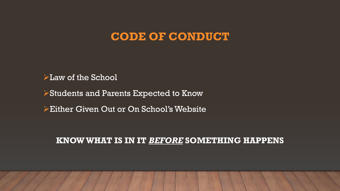## **CODE OF CONDUCT**

 $\blacktriangleright$  Law of the School

Students and Parents Expected to Know

Either Given Out or On School's Website

#### **KNOW WHAT IS IN IT** *BEFORE* **SOMETHING HAPPENS**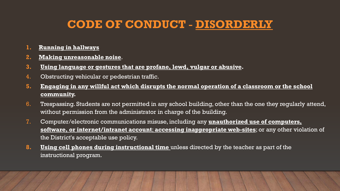## **CODE OF CONDUCT** - **DISORDERLY**

- **1. Running in hallways**
- **2. Making unreasonable noise**.
- **3. Using language or gestures that are profane, lewd, vulgar or abusive.**
- 4. Obstructing vehicular or pedestrian traffic.
- **5. Engaging in any willful act which disrupts the normal operation of a classroom or the school community.**
- 6. Trespassing. Students are not permitted in any school building, other than the one they regularly attend, without permission from the administrator in charge of the building.
- 7. Computer/electronic communications misuse, including any **unauthorized use of computers, software, or internet/intranet account**; **accessing inappropriate web-sites**; or any other violation of the District's acceptable use policy.
- **8. Using cell phones during instructional time** unless directed by the teacher as part of the instructional program.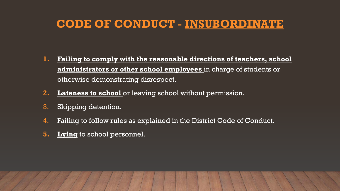## **CODE OF CONDUCT** - **INSUBORDINATE**

- **1. Failing to comply with the reasonable directions of teachers, school administrators or other school employees** in charge of students or otherwise demonstrating disrespect.
- **2. Lateness to school** or leaving school without permission.
- 3. Skipping detention.
- 4. Failing to follow rules as explained in the District Code of Conduct.
- **5. Lying** to school personnel.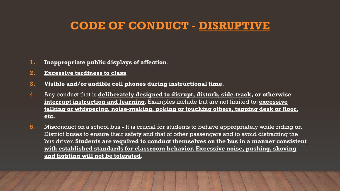## **CODE OF CONDUCT** - **DISRUPTIVE**

- **1. Inappropriate public displays of affection**.
- **2. Excessive tardiness to class**.
- **3. Visible and/or audible cell phones during instructional time**.
- 4. Any conduct that is **deliberately designed to disrupt, disturb, side-track, or otherwise interrupt instruction and learning.** Examples include but are not limited to: **excessive talking or whispering, noise-making, poking or touching others, tapping desk or floor, etc.**
- 5. Misconduct on a school bus It is crucial for students to behave appropriately while riding on District buses to ensure their safety and that of other passengers and to avoid distracting the bus driver. **Students are required to conduct themselves on the bus in a manner consistent with established standards for classroom behavior. Excessive noise, pushing, shoving and fighting will not be tolerated**.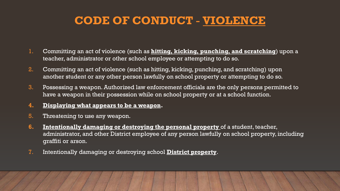## **CODE OF CONDUCT** - **VIOLENCE**

- 1. Committing an act of violence (such as **hitting, kicking, punching, and scratching**) upon a teacher, administrator or other school employee or attempting to do so.
- 2. Committing an act of violence (such as hitting, kicking, punching, and scratching) upon another student or any other person lawfully on school property or attempting to do so.
- 3. Possessing a weapon. Authorized law enforcement officials are the only persons permitted to have a weapon in their possession while on school property or at a school function.
- **4. Displaying what appears to be a weapon.**
- 5. Threatening to use any weapon.
- **6. Intentionally damaging or destroying the personal property** of a student, teacher, administrator, and other District employee of any person lawfully on school property, including graffiti or arson.
- 7. Intentionally damaging or destroying school **District property**.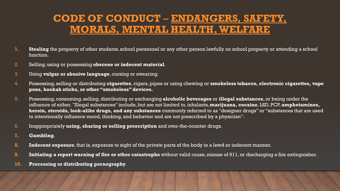## **CODE OF CONDUCT** – **ENDANGERS, SAFETY, MORALS, MENTAL HEALTH, WELFARE**

- **1. Stealing** the property of other students, school personnel or any other person lawfully on school property or attending a school function.
- 2. Selling, using or possessing **obscene or indecent material**.
- 3. Using **vulgar or abusive language**, cursing or swearing.
- 4. Possessing, selling or distributing **cigarettes**, cigars, pipes or using chewing or **smokeless tobacco, electronic cigarettes, vape pens, hookah sticks, or other "smokeless" devices.**
- 5. Possessing, consuming, selling, distributing or exchanging **alcoholic beverages** or **illegal substances**, or being under the influence of either. "Illegal substances" include, but are not limited to, inhalants, **marijuana, cocaine**, LSD, PCP, **amphetamines, heroin, steroids, look-alike drugs, and any substances** commonly referred to as "designer drugs" or "substances that are used to intentionally influence mood, thinking, and behavior and are not prescribed by a physician".
- 6. Inappropriately **using, sharing or selling prescription** and over-the-counter drugs.
- **7. Gambling**.
- **8. Indecent exposure**, that is, exposure to sight of the private parts of the body in a lewd or indecent manner.
- **9. Initiating a report warning of fire or other catastrophe** without valid cause, misuse of 911, or discharging a fire extinguisher.
- **10. Processing or distributing pornography**.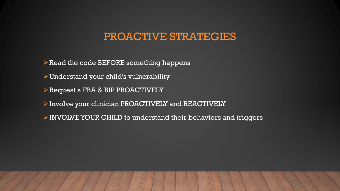## PROACTIVE STRATEGIES

 $\triangleright$  Read the code BEFORE something happens

 $\triangleright$  Understand your child's vulnerability

Request a FBA & BIP PROACTIVELY

 $\triangleright$  Involve your clinician PROACTIVELY and REACTIVELY

INVOLVE YOUR CHILD to understand their behaviors and triggers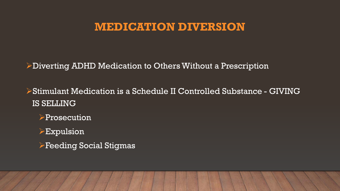## **MEDICATION DIVERSION**

Diverting ADHD Medication to Others Without a Prescription

Stimulant Medication is a Schedule II Controlled Substance - GIVING IS SELLING

**>Prosecution** 

 $\triangleright$ Expulsion

Feeding Social Stigmas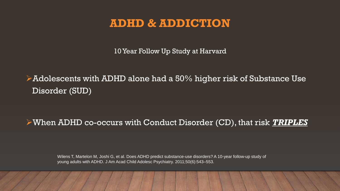## **ADHD & ADDICTION**

10 Year Follow Up Study at Harvard

Adolescents with ADHD alone had a 50% higher risk of Substance Use Disorder (SUD)

#### When ADHD co-occurs with Conduct Disorder (CD), that risk *TRIPLES*

Wilens T, Martelon M, Joshi G, et al. Does ADHD predict substance-use disorders? A 10-year follow-up study of young adults with ADHD. J Am Acad Child Adolesc Psychiatry. 2011;50(6):543–553.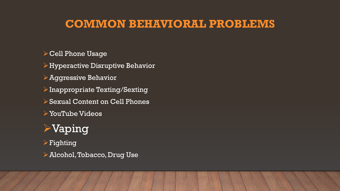## **COMMON BEHAVIORAL PROBLEMS**

**≻ Cell Phone Usage** 

 $\triangleright$  Hyperactive Disruptive Behavior

Aggressive Behavior

 $\triangleright$  Inappropriate Texting/Sexting

Sexual Content on Cell Phones

YouTube Videos

## Vaping

 $\triangleright$  Fighting

Alcohol, Tobacco, Drug Use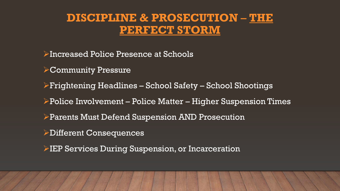## **DISCIPLINE & PROSECUTION** – **THE PERFECT STORM**

Increased Police Presence at Schools

Community Pressure

Frightening Headlines – School Safety – School Shootings

Police Involvement – Police Matter – Higher Suspension Times

Parents Must Defend Suspension AND Prosecution

Different Consequences

**EP Services During Suspension, or Incarceration**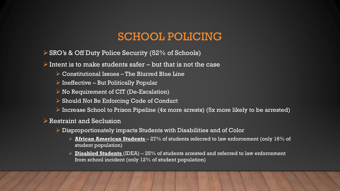## SCHOOL POLICING

 $\triangleright$  SRO's & Off Duty Police Security (52% of Schools)

 $\triangleright$  Intent is to make students safer – but that is not the case

- Constitutional Issues The Blurred Blue Line
- $\triangleright$  Ineffective But Politically Popular
- $\triangleright$  No Requirement of CIT (De-Escalation)
- **► Should Not Be Enforcing Code of Conduct**
- $\triangleright$  Increase School to Prison Pipeline (4x more arrests) (5x more likely to be arrested)

#### $\triangleright$  Restraint and Seclusion

- $\triangleright$  Disproportionately impacts Students with Disabilities and of Color
	- **African American Students**  27% of students referred to law enforcement (only 16% of student population)
	- **Disabled Students** (IDEA) 25% of students arrested and referred to law enforcement from school incident (only 12% of student population)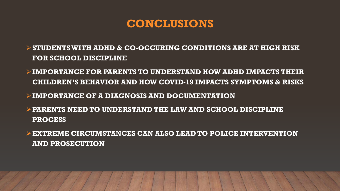## **CONCLUSIONS**

- **STUDENTS WITH ADHD & CO-OCCURING CONDITIONS ARE AT HIGH RISK FOR SCHOOL DISCIPLINE**
- **IMPORTANCE FOR PARENTS TO UNDERSTAND HOW ADHD IMPACTS THEIR CHILDREN'S BEHAVIOR AND HOW COVID-19 IMPACTS SYMPTOMS & RISKS**
- **IMPORTANCE OF A DIAGNOSIS AND DOCUMENTATION**
- **PARENTS NEED TO UNDERSTAND THE LAW AND SCHOOL DISCIPLINE PROCESS**
- **EXTREME CIRCUMSTANCES CAN ALSO LEAD TO POLICE INTERVENTION AND PROSECUTION**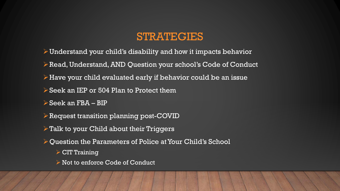## STRATEGIES

- $\triangleright$  Understand your child's disability and how it impacts behavior
- Read, Understand, AND Question your school's Code of Conduct
- $\triangleright$  Have your child evaluated early if behavior could be an issue
- Seek an IEP or 504 Plan to Protect them
- $\triangleright$  Seek an FBA BIP
- Request transition planning post-COVID
- $\triangleright$  Talk to your Child about their Triggers
- $\triangleright$  Ouestion the Parameters of Police at Your Child's School
	- $\triangleright$  CIT Training
	- ▶ Not to enforce Code of Conduct